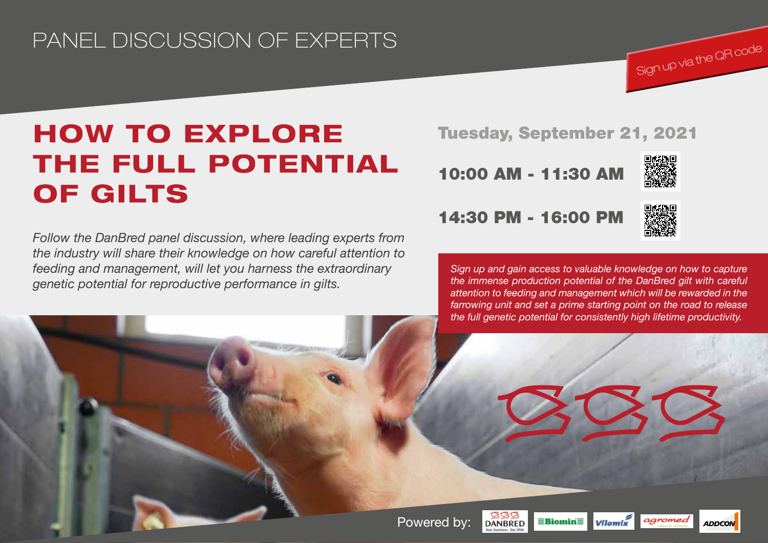## PANEL DISCUSSION OF EXPERTS

# HOW TO EXPLORE THE FULL POTENTIAL OF GILTS

*Follow the DanBred panel discussion, where leading experts from the industry will share their knowledge on how careful attention to feeding and management, will let you harness the extraordinary genetic potential for reproductive performance in gilts.* 

### Tuesday, September 21, 2021

10:00 AM - 11:30 AM



Sign up via the QR code

### 14:30 PM - 16:00 PM



*Sign up and gain access to valuable knowledge on how to capture the immense production potential of the DanBred gilt with careful attention to feeding and management which will be rewarded in the farrowing unit and set a prime starting point on the road to release the full genetic potential for consistently high lifetime productivity.*